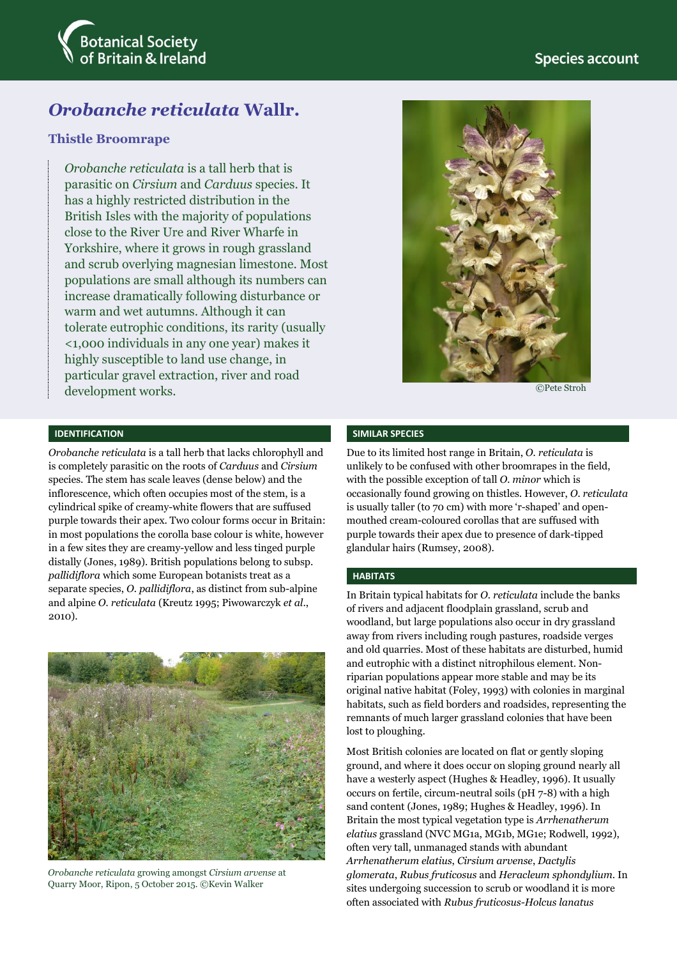# **Species account**



# *Orobanche reticulata* **Wallr.**

### **Thistle Broomrape**

*Orobanche reticulata* is a tall herb that is parasitic on *Cirsium* and *Carduus* species. It has a highly restricted distribution in the British Isles with the majority of populations close to the River Ure and River Wharfe in Yorkshire, where it grows in rough grassland and scrub overlying magnesian limestone. Most populations are small although its numbers can increase dramatically following disturbance or warm and wet autumns. Although it can tolerate eutrophic conditions, its rarity (usually <1,000 individuals in any one year) makes it highly susceptible to land use change, in particular gravel extraction, river and road development works.

#### **IDENTIFICATION**

*Orobanche reticulata* is a tall herb that lacks chlorophyll and is completely parasitic on the roots of *Carduus* and *Cirsium* species. The stem has scale leaves (dense below) and the inflorescence, which often occupies most of the stem, is a cylindrical spike of creamy-white flowers that are suffused purple towards their apex. Two colour forms occur in Britain: in most populations the corolla base colour is white, however in a few sites they are creamy-yellow and less tinged purple distally (Jones, 1989). British populations belong to subsp. *pallidiflora* which some European botanists treat as a separate species, *O. pallidiflora*, as distinct from sub-alpine and alpine *O. reticulata* (Kreutz 1995; Piwowarczyk *et al*., 2010).



*Orobanche reticulata* growing amongst *Cirsium arvense* at Quarry Moor, Ripon, 5 October 2015. ©Kevin Walker



©Pete Stroh

#### **SIMILAR SPECIES**

Due to its limited host range in Britain, *O. reticulata* is unlikely to be confused with other broomrapes in the field, with the possible exception of tall *O. minor* which is occasionally found growing on thistles. However, *O. reticulata* is usually taller (to 70 cm) with more 'r-shaped' and openmouthed cream-coloured corollas that are suffused with purple towards their apex due to presence of dark-tipped glandular hairs (Rumsey, 2008).

### **HABITATS**

In Britain typical habitats for *O. reticulata* include the banks of rivers and adjacent floodplain grassland, scrub and woodland, but large populations also occur in dry grassland away from rivers including rough pastures, roadside verges and old quarries. Most of these habitats are disturbed, humid and eutrophic with a distinct nitrophilous element. Nonriparian populations appear more stable and may be its original native habitat (Foley, 1993) with colonies in marginal habitats, such as field borders and roadsides, representing the remnants of much larger grassland colonies that have been lost to ploughing.

Most British colonies are located on flat or gently sloping ground, and where it does occur on sloping ground nearly all have a westerly aspect (Hughes & Headley, 1996). It usually occurs on fertile, circum-neutral soils (pH 7-8) with a high sand content (Jones, 1989; Hughes & Headley, 1996). In Britain the most typical vegetation type is *Arrhenatherum elatius* grassland (NVC MG1a, MG1b, MG1e; Rodwell, 1992), often very tall, unmanaged stands with abundant *Arrhenatherum elatius*, *Cirsium arvense*, *Dactylis glomerata*, *Rubus fruticosus* and *Heracleum sphondylium*. In sites undergoing succession to scrub or woodland it is more often associated with *Rubus fruticosus-Holcus lanatus*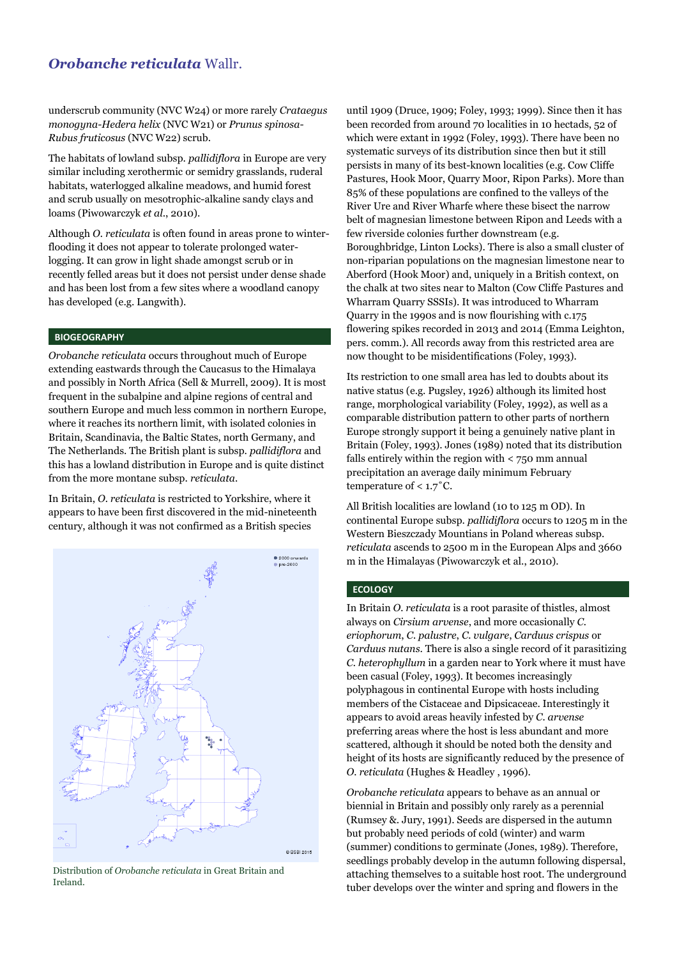## *Orobanche reticulata* Wallr.

underscrub community (NVC W24) or more rarely *Crataegus monogyna-Hedera helix* (NVC W21) or *Prunus spinosa-Rubus fruticosus* (NVC W22) scrub.

The habitats of lowland subsp. *pallidiflora* in Europe are very similar including xerothermic or semidry grasslands, ruderal habitats, waterlogged alkaline meadows, and humid forest and scrub usually on mesotrophic-alkaline sandy clays and loams (Piwowarczyk *et al*., 2010).

Although *O. reticulata* is often found in areas prone to winterflooding it does not appear to tolerate prolonged waterlogging. It can grow in light shade amongst scrub or in recently felled areas but it does not persist under dense shade and has been lost from a few sites where a woodland canopy has developed (e.g. Langwith).

#### **BIOGEOGRAPHY**

*Orobanche reticulata* occurs throughout much of Europe extending eastwards through the Caucasus to the Himalaya and possibly in North Africa (Sell & Murrell, 2009). It is most frequent in the subalpine and alpine regions of central and southern Europe and much less common in northern Europe, where it reaches its northern limit, with isolated colonies in Britain, Scandinavia, the Baltic States, north Germany, and The Netherlands. The British plant is subsp. *pallidiflora* and this has a lowland distribution in Europe and is quite distinct from the more montane subsp. *reticulata*.

In Britain, *O. reticulata* is restricted to Yorkshire, where it appears to have been first discovered in the mid-nineteenth century, although it was not confirmed as a British species



Distribution of *Orobanche reticulata* in Great Britain and Ireland.

until 1909 (Druce, 1909; Foley, 1993; 1999). Since then it has been recorded from around 70 localities in 10 hectads, 52 of which were extant in 1992 (Foley, 1993). There have been no systematic surveys of its distribution since then but it still persists in many of its best-known localities (e.g. Cow Cliffe Pastures, Hook Moor, Quarry Moor, Ripon Parks). More than 85% of these populations are confined to the valleys of the River Ure and River Wharfe where these bisect the narrow belt of magnesian limestone between Ripon and Leeds with a few riverside colonies further downstream (e.g. Boroughbridge, Linton Locks). There is also a small cluster of non-riparian populations on the magnesian limestone near to Aberford (Hook Moor) and, uniquely in a British context, on the chalk at two sites near to Malton (Cow Cliffe Pastures and Wharram Quarry SSSIs). It was introduced to Wharram Quarry in the 1990s and is now flourishing with c.175 flowering spikes recorded in 2013 and 2014 (Emma Leighton, pers. comm.). All records away from this restricted area are now thought to be misidentifications (Foley, 1993).

Its restriction to one small area has led to doubts about its native status (e.g. Pugsley, 1926) although its limited host range, morphological variability (Foley, 1992), as well as a comparable distribution pattern to other parts of northern Europe strongly support it being a genuinely native plant in Britain (Foley, 1993). Jones (1989) noted that its distribution falls entirely within the region with < 750 mm annual precipitation an average daily minimum February temperature of  $< 1.7$ °C.

All British localities are lowland (10 to 125 m OD). In continental Europe subsp. *pallidiflora* occurs to 1205 m in the Western Bieszczady Mountians in Poland whereas subsp. *reticulata* ascends to 2500 m in the European Alps and 3660 m in the Himalayas (Piwowarczyk et al., 2010).

### **ECOLOGY**

In Britain *O. reticulata* is a root parasite of thistles, almost always on *Cirsium arvense*, and more occasionally *C. eriophorum*, *C. palustre*, *C. vulgare*, *Carduus crispus* or *Carduus nutans*. There is also a single record of it parasitizing *C. heterophyllum* in a garden near to York where it must have been casual (Foley, 1993). It becomes increasingly polyphagous in continental Europe with hosts including members of the Cistaceae and Dipsicaceae. Interestingly it appears to avoid areas heavily infested by *C. arvense* preferring areas where the host is less abundant and more scattered, although it should be noted both the density and height of its hosts are significantly reduced by the presence of *O. reticulata* (Hughes & Headley , 1996).

*Orobanche reticulata* appears to behave as an annual or biennial in Britain and possibly only rarely as a perennial (Rumsey &. Jury, 1991). Seeds are dispersed in the autumn but probably need periods of cold (winter) and warm (summer) conditions to germinate (Jones, 1989). Therefore, seedlings probably develop in the autumn following dispersal, attaching themselves to a suitable host root. The underground tuber develops over the winter and spring and flowers in the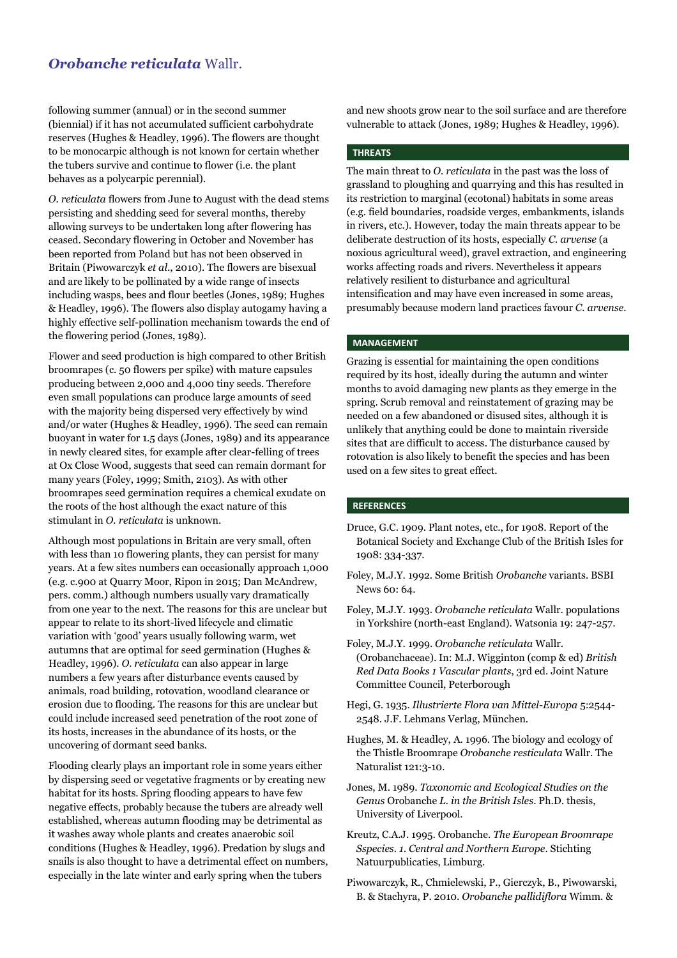# *Orobanche reticulata* Wallr.

following summer (annual) or in the second summer (biennial) if it has not accumulated sufficient carbohydrate reserves (Hughes & Headley, 1996). The flowers are thought to be monocarpic although is not known for certain whether the tubers survive and continue to flower (i.e. the plant behaves as a polycarpic perennial).

*O. reticulata* flowers from June to August with the dead stems persisting and shedding seed for several months, thereby allowing surveys to be undertaken long after flowering has ceased. Secondary flowering in October and November has been reported from Poland but has not been observed in Britain (Piwowarczyk *et al*., 2010). The flowers are bisexual and are likely to be pollinated by a wide range of insects including wasps, bees and flour beetles (Jones, 1989; Hughes & Headley, 1996). The flowers also display autogamy having a highly effective self-pollination mechanism towards the end of the flowering period (Jones, 1989).

Flower and seed production is high compared to other British broomrapes (c. 50 flowers per spike) with mature capsules producing between 2,000 and 4,000 tiny seeds. Therefore even small populations can produce large amounts of seed with the majority being dispersed very effectively by wind and/or water (Hughes & Headley, 1996). The seed can remain buoyant in water for 1.5 days (Jones, 1989) and its appearance in newly cleared sites, for example after clear-felling of trees at Ox Close Wood, suggests that seed can remain dormant for many years (Foley, 1999; Smith, 2103). As with other broomrapes seed germination requires a chemical exudate on the roots of the host although the exact nature of this stimulant in *O. reticulata* is unknown.

Although most populations in Britain are very small, often with less than 10 flowering plants, they can persist for many years. At a few sites numbers can occasionally approach 1,000 (e.g. c.900 at Quarry Moor, Ripon in 2015; Dan McAndrew, pers. comm.) although numbers usually vary dramatically from one year to the next. The reasons for this are unclear but appear to relate to its short-lived lifecycle and climatic variation with 'good' years usually following warm, wet autumns that are optimal for seed germination (Hughes & Headley, 1996). *O. reticulata* can also appear in large numbers a few years after disturbance events caused by animals, road building, rotovation, woodland clearance or erosion due to flooding. The reasons for this are unclear but could include increased seed penetration of the root zone of its hosts, increases in the abundance of its hosts, or the uncovering of dormant seed banks.

Flooding clearly plays an important role in some years either by dispersing seed or vegetative fragments or by creating new habitat for its hosts. Spring flooding appears to have few negative effects, probably because the tubers are already well established, whereas autumn flooding may be detrimental as it washes away whole plants and creates anaerobic soil conditions (Hughes & Headley, 1996). Predation by slugs and snails is also thought to have a detrimental effect on numbers, especially in the late winter and early spring when the tubers

and new shoots grow near to the soil surface and are therefore vulnerable to attack (Jones, 1989; Hughes & Headley, 1996).

#### **THREATS**

The main threat to *O. reticulata* in the past was the loss of grassland to ploughing and quarrying and this has resulted in its restriction to marginal (ecotonal) habitats in some areas (e.g. field boundaries, roadside verges, embankments, islands in rivers, etc.). However, today the main threats appear to be deliberate destruction of its hosts, especially *C. arvense* (a noxious agricultural weed), gravel extraction, and engineering works affecting roads and rivers. Nevertheless it appears relatively resilient to disturbance and agricultural intensification and may have even increased in some areas, presumably because modern land practices favour *C. arvense*.

#### **MANAGEMENT**

Grazing is essential for maintaining the open conditions required by its host, ideally during the autumn and winter months to avoid damaging new plants as they emerge in the spring. Scrub removal and reinstatement of grazing may be needed on a few abandoned or disused sites, although it is unlikely that anything could be done to maintain riverside sites that are difficult to access. The disturbance caused by rotovation is also likely to benefit the species and has been used on a few sites to great effect.

#### **REFERENCES**

- Druce, G.C. 1909. Plant notes, etc., for 1908. Report of the Botanical Society and Exchange Club of the British Isles for 1908: 334-337.
- Foley, M.J.Y. 1992. Some British *Orobanche* variants. BSBI News 60: 64.
- Foley, M.J.Y. 1993. *Orobanche reticulata* Wallr. populations in Yorkshire (north-east England). Watsonia 19: 247-257.
- Foley, M.J.Y. 1999. *Orobanche reticulata* Wallr. (Orobanchaceae). In: M.J. Wigginton (comp & ed) *British Red Data Books 1 Vascular plants*, 3rd ed. Joint Nature Committee Council, Peterborough
- Hegi, G. 1935. *Illustrierte Flora van Mittel-Europa* 5:2544- 2548. J.F. Lehmans Verlag, München.
- Hughes, M. & Headley, A. 1996. The biology and ecology of the Thistle Broomrape *Orobanche resticulata* Wallr. The Naturalist 121:3-10.
- Jones, M. 1989. *Taxonomic and Ecological Studies on the Genus* Orobanche *L. in the British Isles*. Ph.D. thesis, University of Liverpool.
- Kreutz, C.A.J. 1995. Orobanche. *The European Broomrape Sspecies. 1. Central and Northern Europe*. Stichting Natuurpublicaties, Limburg.
- Piwowarczyk, R., Chmielewski, P., Gierczyk, B., Piwowarski, B. & Stachyra, P. 2010. *Orobanche pallidiflora* Wimm. &